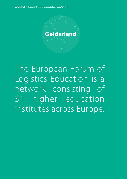

The European Forum of Logistics Education is a network consisting of 31 higher education institutes across Europe.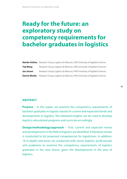# **Ready for the future: an exploratory study on competency requirements for bachelor graduates in logistics**

|                     | <b>Nienke Hofstra</b> Research Group Logistics & Alliances, HAN University of Applied Sciences |
|---------------------|------------------------------------------------------------------------------------------------|
| Yigi Wang           | Research Group Logistics & Alliances, HAN University of Applied Sciences                       |
| Jan Jansen          | Research Group Logistics & Alliances, HAN University of Applied Sciences                       |
| <b>Dennis Moeke</b> | Research Group Logistics & Alliances, HAN University of Applied Sciences                       |

# **ABSTRACT**

**Purpose** – In this paper, we examine the competency requirements of bachelor graduates in logistics based on current and expected trends and developments in logistics. The obtained insights can be used to develop logistics educational programs and curricula accordingly.

**Design/methodology/approach** – First, current and expected trends and developments in the field of logistics are identified. A literature review is conducted to list proposed competencies for logisticians. In addition, 18 in-depth interviews are conducted with senior logistics professionals and academics to examine the competency requirements of logistics graduates in the near future, given the developments in the area of logistics.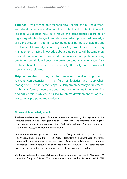**Findings** – We describe how technological-, social- and business trends and developments are affecting the context and content of jobs in logistics. We discuss how, as a result, the competencies required of logistics graduates change. Competencies are distinguished in knowledge, skills and attitude. In addition to having general business knowledge and fundamental knowledge about logistics (e.g., warehouse or inventory management), having knowledge about data science will become more relevant. Software and IT skills but also collaboration, problem solving and innovation skills will become more important the coming years. Also, attitude characteristics such as proactivity, flexibility and curiosity will become more relevant.

**Originality/value** – Existing literature has focused on identifying possible relevant competencies in the field of logistics and supplychain management. This study focuses particularly on competency requirements in the near future, given the trends and developments in logistics. The findings of this study can be used to inform development of logistics educational programs and curricula.

## **Notes and Acknowledgements**

The European Forum of Logistics Education is a network consisting of 31 higher education institutes across Europe. Their goal is to share knowledge and information on logistics education and stimulate internationalisation of education in Europe. The interested reader is referred to https://efle.eu for more information.

In several annual meetings of the European Forum of Logistics Education (EFLE) from 2013 - 2019 (Jena, Emmen, Madrid, Hasselt, Vesoul, Rotterdam and Copenhagen) the future content of logistics education at bachelor level in Europe, especially what competencies (Knowledge, Skills and Attitude) will be needed in the nearby future (5 – 10 years), has been discussed. This has led to a research project which the current study is part of.

We thank Professor Emeritus Stef Weijers (Research Group Logistics & Alliances, HAN University of Applied Sciences, The Netherlands) for starting this discussion back in EFLE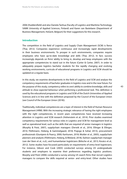2006 (Huddersfield) and also Daniela Tanhua (Faculty of Logistics and Maritime Technology, SAMK University of Applied Sciences, Finland) and Karen van Bastelaere (Department of Business Management, HoGent, Belgium) for their suggestions for this research.

# **Introduction**

The competition in the field of Logistics and Supply Chain Management (SCM) is fierce (Thai, 2012). Companies experience continuous and increasingly rapid developments in their business environments. To prosper in such environments, companies require employees who have up-to-date knowledge and skills (Thai, 2012). In fact, success increasingly depends on firms' ability to bring in, develop and keep employees with the appropriate competencies to stand out in the future (Carter & Carter, 2007). In order to adequately prepare logistics bachelor students for the rapidly changing and evolving working environments, curricula of educational programs in Logistics and SCM should be updated on a regular basis.

In this study, we examine developments in the field of Logistics and SCM and analyse the competency requirements of bachelor graduates in logistics now and in the near future. For the purpose of this study, competency refers to *one's ability to combine knowledge, skills and attitude to show expected behaviour when performing a professional task*. This definition is used by the educational programs in Logistics and SCM of the Dutch Universities of Applied Sciences and is in line with the definition proposed by the Council of the European Union (see Council of the European Union (2018)).

Traditionally, individual competencies are a topic of interest in the field of Human Resource Management (HRM). With the increasing strategic relevance of having the right employees with the right competencies, in recent years competencies have received increasing attention in Logistics and SCM research (Hohenstein et al., 2014). Prior studies examined competency requirements for various roles in Logistics and SCM for management level as well as operational level, such as the skills that are required of senior managers in logistics (Murphy & Poist, 2007), supplychain managers (Derwik et al., 2016; Ellinger & Ellinger, 2014; Flöthmann, Hoberg, & Gammelgaard, 2018; Prajogo & Sohal, 2013), procurement professionals (Giunipero & Pearcy, 2000; Karttunen, 2018; Mulder et al., 2005), supplychain planners and analysts (Flöthmann, Hoberg, & Wieland, 2018), fashion supplychain manager (van der Veen et al., n.d.), and humanitarian logisticians (Bölsche et al., 2013; Kovács et al., 2012). Some studies have focussed particularly on requirements of entry-level logisticians. For instance, Gibson and Cook (2003) conducted surveys among US undergraduate students and employers to examine their preferences regarding logistics positions. Murphy and Poist (2006) conducted a survey among US search firms that recruit Logistics managers to compare the skills required at senior- and entry-level. Other studies have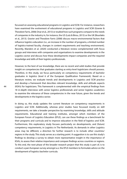focussed on assessing educational programs in Logistics and SCM. For instance, researchers have examined the evolvement of educational programs in Logistics and SCM (Gravier & Theodore Farris, 2008; Onar et al., 2013) or studied how such programs compare to the needs of companies in the industry in, for instance, the US (Lutz & Birou, 2013) or the UK (Bourlakis et al., 2013). Gravier and Theodore Farris (2008) discuss macro-environmental factors that influence logistics education (i.e., an increase in the number of programs, a limited number of logistics-trained faculty, changes in content requirements and teaching environment). Recently, Manders et al. (2020) conducted a literature review complemented with focus groups and interviews with companies and organisations to examine developments in the Logistics sector and discuss how these developments impact companies and the required knowledge and skills of their logistics professionals.

However, to the best of our knowledge, there are no recent and solid studies that provide insight on competencies that graduates starting as entry-level logisticians should possess. Therefore, in this study, we focus particularly on competency requirements of bachelor graduates in logistics (level 6 of the European Qualification Framework). Based on a literature review, we evaluate trends and developments in Logistics and SCM practice and develop a framework that describes relevant knowledge, skills and attitude aspects (KSA's) for logisticians. This framework is complemented with the empirical findings from 18 in-depth interviews with senior logistics professionals and senior logistics academics to examine the relevance of these competencies in the near future, given the trends and developments in the logistics sector.

In doing so, this study updates the current literature on competency requirements in Logistics and SCM. Additionally, whereas prior studies have focussed mostly on skill requirements, we take a broader perspective by examining knowledge, skills and attitude requirements. Educational and training institutes, amongst which members of the European Forum of Logistics Education (EFLE), can use these findings as a benchmark for their programs and curricula and to improve education in the field of logistics and SCM. Furthermore, this exploratory study focuses particularly on developments, and (future) competency requirements, in Logistics in The Netherlands. As demands in other Logistics areas may be different, a direction for further research is to include other countries/ regions in the study. This study serves as a starting point. A suggestion is to use this study's findings to develop a survey to obtain more representative insight in the importance of KSA's, to assess their relative importance and compare findings across countries or regions. To this end, the next phase of the broader research project that this study is part of, is to conduct a pan-European survey amongst a.o. the EFLE members to formulate advice on the development of logistics bachelor curricula.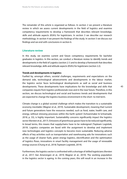The remainder of this article is organized as follows. In section 2 we present a literature review in which we assess current developments in the field of logistics and examine competency requirements to develop a framework that describes relevant knowledge, skills and attitude aspects (KSA's) for logisticians. In section 3 we describe our research methodology. In section 4 we present the findings of the study. In section 5 we discuss our findings and we end with conclusions in section 6.

## **Literature review**

In this study, we examine current and future competency requirements for bachelor graduates in logistics. In this section, we conduct a literature review to identify trends and developments in the field of Logistics (section 2.1) and to develop a framework that describes relevant knowledge, skills and attitude aspects (KSA's) for logisticians (section 2.2).

# **Trends and developments in logistics**

Fuelled by, amongst others, societal challenges, requirements and expectations on the demand side, technological advancements and developments in the labour market, the logistics sector faces technological developments as well as social and business developments. These developments have implications for the knowledge and skills that companies require from logistics professionals now and in the near future. Therefore, in this section, we discuss technological and social and business trends and developments that are expected to change the logistics business environment in the short- to mid-term.

Climate change is a global societal challenge which makes the transition to a sustainable economy inevitable (Wagner et al., 2019). Sustainable development, meaning that 'current and future generations have the resources needed, such as food, water, health care, and energy, without stressing processes within the Earth system' (Schoenmaker & Schramade, 2018, p. 33), is highly important. Sustainability concerns significantly impact the logistics sector (Kersten et al., 2017). Emissions of greenhouse gasses have to be reduced significantly. In broad terms, this means that supplychains have to be redesigned (Topteam Logistiek, 2019). Logistics companies are faced with the assignment to develop and implement new technologies and logistics concepts to become more sustainable. Reducing adverse effects of key activities such as transportation and warehousing asks for innovations such as the usage of cleaner fuels, green energy logistics, electrification and the optimisation of logistics flows, innovations in smart facility management and the usage of renewable energy sources (Chung et al., 2018; Topteam Logistiek, 2019).

Furthermore, the logistics sector is confronted with a shortage of skilled logisticians (Kersten et al., 2017; Van Amerongen et al., 2019; Wagner et al., 2019). The working population in the logistics sector is ageing. In the coming years, this will result in an increase in the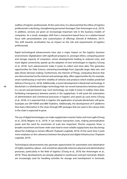outflow of logistics professionals. At the same time, it is observed that the inflow of logistics professionals is declining, strengthening personnel shortages (Van Amerongen et al., 2019). In addition, services are given an increasingly important role in the business models of companies. As a result, strategies shift from a transaction-based focus to a relation-based focus with personalisation and customisation of offerings (Derwik & Hellström, 2017). This shift towards servitisation has an impact on the role and requirements of logistics professionals.

Rapid technological advancements have also a major impact on the logistics business environment. Digitalisation with significant progress in, amongst others, computing power and storage capacity of computers, sensor developments leading to reduced costs, and more digital connectivity speeds up the adoption of new technologies in logistics (Chung et al., 2018). Such advancements make it easier to collect and store data. This generates opportunities for Data Science, extracting knowledge from (typically large) data sets, and data driven decision-making. Furthermore, the Internet of Things, computing devices that are interconnected via the internet and exchange data, offers opportunities for, for example, smart warehousing or real-time visibility of vehicles and products which enables predicted delivery (Chung et al., 2018). Additionally, a recent development is blockchain technology. A blockchain is a distributed ledger technology that can record transactions between parties in a secure and permanent way. Such technology can make it easier to (safely) share data, facilitating transparency between parties in the supplychain. It will assist the automation of administrative and commercial processes in logistics and speed up cycle times (Chung et al., 2018). It is expected that in logistics the application of private blockchains will grow. Examples are SAP-HANA and IBM Tradelens. Additionally, the development of IT platforms that share information in the chain through ERP packages that are used in the various links in the chain is expected to grow.

The use of digital technologies can make supplychains smarter, faster and more agile (Chung et al., 2018; Wagner et al., 2019). It can reduce transaction costs, making personalisation easier and the need for economies of scale less important. Shorter response times, a broader assortment and lower order sizes lead to more volatile supplychains but also brings about the challenge to remain efficient (Topteam Logistiek, 2019). At the same time, it puts more emphasis on the coherence between the physical and digital infrastructure (Topteam Logistiek, 2019).

Technological advancements also generate opportunities for automation and robotisation of highly repetitive, labour- and sometimes physically intensive physical and administrative processes, particularly in the field of logistics (Chung et al., 2018; Van Amerongen et al., 2019). These developments are already adopted in warehouses and port terminals. Robots are increasingly used for handling activities for storage and transhipment in terminals,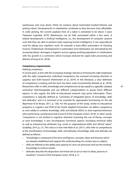warehouses and cross docks. Think, for instance about Automated Guided Vehicles and picking robots. Developments in robotisation accelerate as they become more affordable. In order picking, the current payback time of a robot is estimated to be about 3 years (Topteam Logistiek, 2019). Warehouses can be fully automated within a few years. A related development is Artificial Intelligence, i.e., the development of computer systems such that they are able to perform tasks requiring human intelligence. It can especially be used for taking over repetitive work. An example is back-office automation of checking invoices (Tradecloud). Developments in automation and robotisation are stimulated by the increasing labour shortages in logistics and an ageing working population in combination with the growth in e-commerce which increases demand for rapid order processing and delivery (Chung et al., 2018).

# **Competency requirements**

# *Defining competency*

In recent years, in line with the increasing strategic relevance of having the right employees with the right competencies, individual competency has received increasing attention in Logistics and SCM research (Hohenstein et al., 2014). In this literature, a clear definition of competency is lacking and the term has been used inconsistently (Kotzab et al., 2018). Researchers refer to skills, knowledge and competencies to be used in a specific context somewhat interchangeably and use different categorisations to group these different aspects. In this regard, the field of educational research may prove informative. There, competency is typically defined as "consisting of integrated pieces of knowledge, skills and attitudes", and it is assumed to be essential for appropriate functioning on the job (Baartman & De Bruijn, 2011, p. 126). For the purpose of this study, similar to educational programs in Logistics and SCM of the Dutch Applied Universities we define competency as *one's ability to combine knowledge, skills and attitude [KSA's] to show expected behaviour when performing a professional task* (Council of the European Union, 2018). In other words, "competence is not limited to cognitive elements (involving the use of theory, concepts or tacit knowledge); it also encompasses functional aspects (including technical skills) as well as interpersonal attributes (e.g. social or organisational skills) and ethical values" (Cedefop, 2014, p. 21). This view is in line with Male et al. (2011), who refer to competences as the manifestation of knowledge, skills, and attitudes. Knowledge, skills and attitudes are defined as follows:

- "knowledge is composed of the facts and figures, concepts, ideas and theories which are already established and support the understanding of a certain area or subject;
- skills are defined as the ability and capacity to carry out processes and use the existing knowledge to achieve results;
- attitudes describe the disposition and mind-sets to act or react to ideas, persons or situations" (Council of the European Union, 2018, p. 7).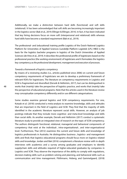Additionally, we make a distinction between hard skills (functional) and soft skills (relational). It has been acknowledged that soft skills are becoming increasingly important in the logistics sector (Bak et al., 2019; Ellinger & Ellinger, 2014). In fact, it has been indicated that key hiring decisions focus on more soft (interpersonal and relational) skills whereas hard skills have become a standard requirement (Bak et al., 2019).

The professional- and (educational) training profile Logistics of the Dutch National Logistics Platform for Universities of Applied Sciences (Landelijk Platform Logistiek (LPL) HBO) is the basis for the logistics bachelor programs in logistics of the Dutch Universities of Applied Sciences (de Vries et al., 2019). It describes the professional profile of logisticians based on the professional practice (the working environment) of logisticians and it formulates the logistics key competency as *the professional development, management and execution of processes*.

## *Towards a framework of logistics competency*

By means of a reviewing studies (i.e., articles published since 2006) on current and future competency requirements of logisticians we aim to develop a preliminary framework of relevant KSA's for logisticians. The literature on competency requirements in Logistics and SCM is fragmented and diversified (Derwik & Hellström, 2017), but can be distinguished in works that (mainly) take the perspective of logistics practice, and works that (mainly) take the perspective of educational programs. Note that the articles used in the literature review may conceptualize competency differently and/or use different categorisations.

Some studies examine general logistics and SCM competency requirements. For one, Kotzab et al. (2018) conducted a meta-analysis to examine knowledge, skills and attitudes that are important in the field of Logistics and SCM. They find that the majority of skills identified in the academic literature represent social skills. However, an analysis of job postings indicate that they include more cognitive- and meta-level knowledge and skills than social skills. As another example, Derwik and Hellström (2017) conduct a systematic literature study to provide an integrated view of research on the topic of SCM competency. The authors distinguish functional, relational, managerial and behavioral components of competency that exist at the individual-, intra-organisational-, and inter-organisational level. Furthermore, Thai (2012) examines the current and future skills and knowledge of logistics professionals in Australia. He distinguishes business-, logistics- and management skills and finds that logistics educational programs should focus more on logistics related skills and knowledge. Jordan and Bak (2016) complement a literature review with in-depth interviews with academics and a survey among graduates and employers to identify supplychain skills and attitudes required of higher-educated graduates by companies in Logistics and SCM. They observe the importance of the ability to comply with regulations, decision-making skills such as problem solving and planning, and behavioral skills such as communication and time management. Flöthmann, Hoberg, and Gammelgaard, (2018)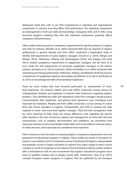distinguish (what they refer to as) SCM competencies in individual and organisational components to examine how they affect SCM performance. The individual components are distinguished in SCM core skills and knowledge, managerial skills, and IT skills. Using structural equation modeling they find that individual components positively affects companies' SCM peformance.

Other studies have focussed on competency requirements for specific positions in Logistics and SCM. For instance, Manders et al. (2020) examined skills that are required of logistics professionals in general. Murphy and Poist (2007) conducted a longitudinal study to identify skill requirements of senior logistics managers. Derwik et al. (2016), Ellinger and Ellinger (2014), Flöthmann, Hoberg, and Gammelgaard (2018), and Prajogo and Sohal (2013) studied competency requirements of supplychain managers. Van der Veen et al. (n.d.) study the skill requirements of successful supplychain managers in the fashion industry. Giunipero et al. (2012), Karttunen (2018) and Mulder et al. (2005) examined skills required by purchasing professionals. Flöthmann, Hoberg, and Wieland (2018) focussed on competencies of supplychain planners and analysts and Bölsche et al. (2013) and Kovács et al. (2012) on knowledge and skills of humanitarian logisticians.

There are some studies that have focussed particularly on requirements of entrylevel logisticians. For instance, Gibson and Cook (2003) conducted surveys among US undergraduate students and employers to examine their preferences regarding logistics positions. They identified key skills and experiences entry-level managers should possess. Communication skills, leadership- and general work experience were considered most important by employers. Murphy and Poist (2006) conducted a survey among US search firms that recruit managers in Logistics, Transportation and SCM to compare the skills required of senior- and entry-level logistics managers. They find that management skills are most important at both levels but strong differences exist regarding the specific skills required in the area of business, logistics and management. At entry-level personal characteristics, such as integrity, self-motivation and confidence, are considered most important whereas at senior-level leader-related skills such as the ability to motivate others, to make decisions, and to persuade are considered more important.

Other researchers have focussed on assessing logistics competency requirements from the perspective of educational programs in logistics. These studies are mostly US focussed. For instance, Lutz and Birou (2013) conducted a survey of (primarily US) logistics undergraduate and graduate courses in higher education to examine how topics taught in these courses compare to needs of companies in the industry. They find that the industry prefers students with a well-balanced skill set and recommend that logistics educational programs focus more on problem analysis and on people (social) skills. Furthermore, Onar et al. (2013) compare European master programs in Logistics that are published by the European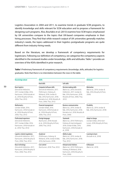Logistics Association in 2004 and 2011, to examine trends in graduate SCM programs, to identify knowledge and skills relevant for SCM education and to propose a framework for designing such programs. Also, Bourlakis et al. (2013) examine how SCM topics emphasised by UK universities compare to the topics that UK-based companies emphasize in their hiring processes. They find that while research output of UK universities generally matches industry's needs, the topics addressed in their logistics postgraduate programs are quite different from industry-hiring needs.

Based on the literature, we develop a framework of competency requirements for logisticians. Following our definition of competency, we categorise the competency aspects identified in the reviewed studies under knowledge, skills and attitudes. Table 1 provides an overview of the KSA's identified in prior research.

**Table 1** Preliminary framework of competency requirements (knowledge, skills, attitudes) for logistics graduates. Note that there is no interrelation between the rows in the table.

| <b>Knowledge about</b>                                                                                                                                       | <b>Skills</b>                                                                                                                                                                                         | <b>Attitude</b>                                                                                                                                           |                                                                                         |  |  |
|--------------------------------------------------------------------------------------------------------------------------------------------------------------|-------------------------------------------------------------------------------------------------------------------------------------------------------------------------------------------------------|-----------------------------------------------------------------------------------------------------------------------------------------------------------|-----------------------------------------------------------------------------------------|--|--|
|                                                                                                                                                              | Hard skills                                                                                                                                                                                           | Soft skills                                                                                                                                               |                                                                                         |  |  |
| <b>Basic logistics</b><br>(Derwik & Hellström,<br>2017; Jordan & Bak, 2016;<br>Karttunen, 2018; Kotzab et<br>al., 2018; Murphy & Poist,<br>2006; Thai, 2012) | Computer/software skills<br>(Derwik & Hellström, 2017;<br>Flöthmann, Hoberg, &<br>Wieland, 2018; Jordan &<br>Bak, 2016; Karttunen, 2018;<br>Kotzab et al., 2018; Murphy &<br>Poist, 2006; Thai, 2012) | Decision making skills<br>(Bak et al., 2019; Derwik &<br>Hellström, 2017; Jordan &<br>Bak, 2016; Karttunen, 2018;<br>Murphy & Poist, 2006; Thai,<br>2012) | <b>Motivation</b><br>(Bak et al., 2019; Jordan &<br>Bak, 2016; Murphy & Poist,<br>2006) |  |  |
| <b>Mathematics</b><br>(Jordan & Bak, 2016;<br>Karttunen, 2018; Kotzab et<br>al., 2018; Murphy & Poist,<br>2006; Thai, 2012)                                  | Financial management<br>(Jordan & Bak, 2016;<br>Karttunen, 2018; Kotzab et<br>al., 2018; Murphy & Poist,<br>2006; Thai, 2012)                                                                         | Flexibility<br>(Bak et al., 2019; Jordan &<br>Bak, 2016; Karttunen, 2018)                                                                                 |                                                                                         |  |  |
| Professional experience<br>(Derwik & Hellström.<br>2017; Jordan & Bak, 2016;<br>Karttunen, 2018; Kotzab et<br>al., 2018; Thai, 2012)                         | Foreign language<br>(Karttunen, 2018; Kotzab<br>et al., 2018; Murphy & Poist,<br>2006; Thai, 2012)                                                                                                    | <b>Teamwork</b><br>(Bak et al., 2019; Flöthmann,<br>Hoberg, & Gammelgaard,<br>2018; Jordan & Bak, 2016;<br>Karttunen, 2018; Kotzab et<br>al., 2018)       | Adapt to change<br>(Jordan & Bak, 2016; Kart-<br>tunen, 2018; Murphy & Poist,<br>2006)  |  |  |
| Logistics related regulations<br>(Derwik & Hellström, 2017;<br>Karttunen, 2018; Murphy &<br>Poist, 2006; Thai, 2012)                                         | Analytical<br>(Flöthmann, Hoberg, &<br>Wieland, 2018; Jordan & Bak,<br>2016; Karttunen, 2018)                                                                                                         | Ability to plan<br>(Bak et al., 2019; Jordan &<br>Bak, 2016; Karttunen, 2018;<br>Thai, 2012)                                                              | Learning to learn<br>(Kotzab et al., 2018)                                              |  |  |
| <b>Basic technology</b><br>(Derwik & Hellström, 2017;<br>Karttunen, 2018; Murphy &<br>Poist, 2006; Thai, 2012)                                               | Cost control<br>(Karttunen, 2018; Thai, 2012)                                                                                                                                                         | Interpersonal relations<br>(Bak et al., 2019; Flöthmann,<br>Hoberg, & Wieland, 2018;<br>Karttunen, 2018; Murphy &<br>Poist, 2006)                         | Enthusiasm<br>(Bak et al., 2019)                                                        |  |  |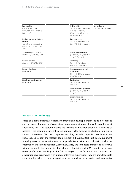| Problem solving<br>(Bak et al., 2019; Flöthmann,<br>Hoberg, & Wieland,<br>2018; Jordan & Bak, 2016;<br>Karttunen, 2018) | Self-confidence<br>(Murphy & Poist, 2006) |
|-------------------------------------------------------------------------------------------------------------------------|-------------------------------------------|
| Time management<br>(Bak et al., 2019; Jordan &<br>Bak, 2016; Karttunen, 2018)                                           |                                           |
| Intercultural management<br>(Karttunen, 2018; Kotzab et<br>al., 2018; Thai, 2012)                                       |                                           |
| Leadership<br>(Bak et al., 2019; Jordan &<br>Bak, 2016; Karttunen, 2018)                                                |                                           |
| Infrastructure planning and<br>management<br>(Bak et al., 2019; Karttunen,<br>2018; Thai, 2012)                         |                                           |
| Collaboration<br>(Bak et al., 2019; Jordan &<br>Bak, 2016)                                                              |                                           |
| Innovation and entrepreneurship<br>(Karttunen, 2018; Kotzab et<br>al., 2018)                                            |                                           |
| Stress management<br>(Bak et al., 2019; Jordan &<br>Bak, 2016)                                                          |                                           |
|                                                                                                                         |                                           |

# **Research methodology**

Based on a literature review, we identified trends and developments in the field of logistics and developed framework of competency requirements for logisticians. To examine what knowledge, skills and attitude aspects are relevant for bachelor graduates in logistics to possess in the near future, given the developments in the field, we conduct semi-structured in-depth interviews. We use purposive sampling to select specific people who are knowledgeable about the research topic (Sekaran & Bougie, 2016). Particularly, judgment sampling was used because the selected respondents are in the best position to provide the information and insights required (Verhoeven, 2015). We conducted a total of 18 interviews with academic lecturers teaching bachelor level Logistics and SCM related courses and senior professionals working in the field of Logistics/SCM for more than 10 years. The academics have experience with student internship supervision, they are knowledgeable about the bachelor curricula in logistics and work in close collaboration with companies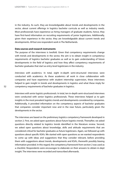in the industry. As such, they are knowledgeable about trends and developments in the sector, about current offerings in logistics bachelor curricula as well as industry needs. Most professionals have experience as hiring managers of graduate students, hence, they have first-hand information on recruiting requirements of junior logisticians. Additionally, given their experience in the sector, they are knowledgeable about current trends and developments. All but one respondent work in The Netherlands.

# **Data sources and research instruments**

The purpose of the interviews is twofold. Given that competency requirements change with trends and developments in the sector, the aim is to obtain insight in competency requirements of logistics bachelor graduates as well as to gain understanding of future developments in the field of logistics and how they affect competency requirements of bachelor graduates that start as entry-level logisticians in the industry.

*Interviews with academics.* In total, eight in-depth semi-structured interviews were conducted with academics. As these academics all work in close collaboration with companies and have experience with student internship supervision, these interviews helped to gain insight in trends and developments in logistics and what these imply for competency requirements of bachelor graduates in logistics.

*Interviews with senior logistics professionals.* In total, ten in-depth semi-structured interviews were conducted with senior logistics professionals. These interviews helped us to gain insights in the most prevalent logistics trends and developments considered by companies. Additionally, it provided information on the competency aspects of bachelor graduates that companies consider important now and in the near future, particularly given the developments in the sector.

The interviews are based on the preliminary logistics competency framework developed in section 2. First, we asked open questions about future logistics trends. Thereafter, we asked questions directly related to logistics trends identified in the literature review. Second, we asked open questions about knowledge, skills and attitude requirements that are considered critical for bachelor graduates as future logisticians. Again, we followed up with questions about specific KSA's. We started with open questions as we wanted respondents to come up with ideas and suggestions that they consider relevant, before providing them with suggestions about trends, developments and KSA's, therewith possibly biasing information provided. In this regard, the competency framework from section 2 was used as a checklist. Respondents were encourages to elaborate on their answers to obtain in-dept insight. The interviews were recorded and transcribed afterwards.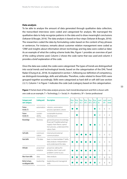## **Data analysis**

To be able to analyse the amount of data generated through qualitative data collection, the transcribed interviews were coded and categorized for analysis. We rearranged the qualitative data to help recognize patterns in the data and to draw meaningful conclusions (Sekaran & Bougie, 2016). The data analysis is based on four steps (Sekaran & Bougie, 2016): The researchers coded the data by formulating codes based on the content of key phrases or sentences. For instance, remarks about customer relation management were coded as 'CRM' and insights about information-driven technology and big data were coded as 'data'. As an example of what the coding scheme looks like, Figure 1 provides an overview of part of the coding scheme used. Column 2 shows the code name that was used and column 3 provides a brief explanation of the code.

Once the data was coded, the codes were categorized. The types of trends are distinguished into social trends and technological trends, based on the categorisation of the DHL Trend Radar (Chung et al., 2018). As explained in section 1, following our definition of competency, we distinguish knowledge, skills and attitudes. Therefore, codes related to these KSA's were grouped together accordingly. Skills were categorized as hard skill or soft skill (see section 2.2.1). Column 1 in Figure 1 indicates the code (sub-)category based on this categorisation.

| <b>Category and</b><br>sub-category    | <b>Coding unit</b>       | <b>Description</b>                                                                                                                       | Resp.<br>(A).1 | Resp.<br>(A).2 | Resp.<br>(A).3 | Resp.<br>(SP).1 | Resp.<br>(SP).2 | Resp.<br>(SP).3 | count<br>(A)   | count<br>(SP) | count<br>(total) |
|----------------------------------------|--------------------------|------------------------------------------------------------------------------------------------------------------------------------------|----------------|----------------|----------------|-----------------|-----------------|-----------------|----------------|---------------|------------------|
| Future<br>trends (T)                   | automation               | robotics, automation<br>process operation, drone                                                                                         |                |                |                |                 |                 |                 | 5              | 6             | 11               |
| Future<br>trends (S)                   | sustain-<br>ability      | sustainable business<br>development                                                                                                      |                |                |                |                 |                 |                 | $\overline{4}$ | 5             | 6                |
| Knowledge                              | <b>Business</b>          | general business knowledge,<br>financial/T/sale&marketing/<br>supply chain fiance, opera-<br>tion process, understand the<br>value chain |                |                |                |                 |                 |                 | 5              | 9             | 14               |
| Soft skills                            | communi-<br>cation       | internal and external<br>communication                                                                                                   |                |                |                |                 |                 |                 | 6              | 6             | 12               |
| Hard skills                            | IT & data                | basic to intermediate IT skills:<br>data analysis: interpretation<br>and understand the data                                             |                |                |                |                 |                 |                 | 6              | 9             | 15               |
| Attitude                               | proactive/<br>initiative | proactive, taking the<br>initiative, don't wait until<br>problem come to you                                                             |                |                |                |                 |                 |                 | 5              | 8             | 13               |
| Must-have skills                       | data                     | data analysis                                                                                                                            |                |                |                |                 |                 |                 | 7              | 8             | 15               |
| Better to have,<br>no obligated skills | leadership               | leadership and managerial<br>skills                                                                                                      |                |                |                |                 |                 |                 | 8              | 8             | 16               |

**Figure 1** Partial sheet of the data analysis process. Each trend/development and KSA is shown with one code as an example. T = Technology,  $S =$  Social,  $A =$  Academics,  $SP =$  Senior professional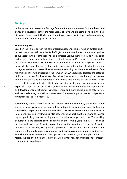# **Findings**

In this section, we present the findings from the in-depth interviews. First we discuss the trends and development that the respondents observe and expect to develop in the field of logistics in section 4.1. Finaly, in section 4.2, we present the findings on the competency requirements of future logistics graduates.

# **Trends in logistics**

Based on their experience in the field of logistics, respondents provided an outlook on the developments that will affect the field of logistics in the near future (i.e., the coming three to five years). In this regard, respondents addressed various technological as well as social and business trends which they observe in the industry and/or expect to develop in the area of logistics. An overview of the trends mentioned in the interviews is given in Table 2. Respondents agree that automation and robotisation will continue to develop in, and change, operations processes. They believe such technology will continue to be one of the main trends in the field of logistics in the coming years. An academic addressed the potential of drones to be used for the delivery of goods and he expects to see this application more and more in the future. Respondents also recognise that the use of Data Science is a key trend that will significantly affect the field of logistics. Relatedly, respondents observe and expect that logistics operations will digitalise further. Because of the technological trends and developments resulting, for instance, in more and more possibilities to collect, store and analyse data, logistics will become smarter. This offers opportunities for companies to further reduce their logistics costs.

Furthermore, various social and business trends were highlighted by the experts in our study. For one, sustainability is expected to continue to grow in importance. Particularly, stakeholders' expectations about sustainable business operations force companies to implement sustainability strategies. Also, respondents expect that the demand for human capital, particularly high-skilled logisticians, remains an important issue. The working population in the logistics sector is ageing. In the coming years, this will result in an increase in the outflow of logistics professionals. At the same time, the inflow of logistics professionals is declining, strengthening personnel shortages. Furthermore, to be able to compete in the marketplace customisation and personalisation of products and services as well as customer relationship management is expected to grow in importance. In this regard, the use of omni-channel strategies will be important for organisations to improve customer/user experience.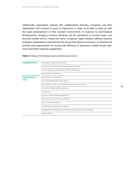Additionally, respondents indicate that collaborations between companies and their stakeholders will continue to grow in importance in order to be able to keep up with the rapid developments in their business environment. In response to technological developments, changing customer demands and the prevalence of societal issues, new business models will be created and some companies might combine different business strategies. Respondents expected that the trends they observe and expect to develop will provide more opportunities to increase the efficiency of operations, enable shorter leadtimes and further optimize supplychains

**Table 2** Findings of technological and social & business trends.

| <b>Technological trends</b>          | Automation, robotisation, drones                                         |  |  |  |  |
|--------------------------------------|--------------------------------------------------------------------------|--|--|--|--|
|                                      | Information- and data-driven technologies, big data                      |  |  |  |  |
|                                      | IT technology (e.g., blockchain, artificial intelligence)                |  |  |  |  |
|                                      | Digitalisation of operations                                             |  |  |  |  |
| <b>Social and business</b><br>trends | Importance of sustainability                                             |  |  |  |  |
|                                      | Increasing stakeholder expectations                                      |  |  |  |  |
|                                      | Personalisation and customisation of products and services               |  |  |  |  |
|                                      | Demand for highly skilled logisticians                                   |  |  |  |  |
|                                      | E-commerce                                                               |  |  |  |  |
|                                      | Customer relationship management                                         |  |  |  |  |
|                                      | Sharing economy and sharing logistics                                    |  |  |  |  |
|                                      | Omni-channel strategies                                                  |  |  |  |  |
|                                      | Complexity of supplychain structures                                     |  |  |  |  |
|                                      | Standardisation of logistics operations, controlled by large enterprises |  |  |  |  |
|                                      | Quality control                                                          |  |  |  |  |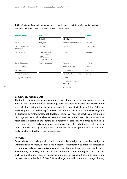**Table 3** Findings of competency requirements (knowledge, skills, attitudes) for logistics graduates. Additions to the preliminary framework are indicated in italics

| <b>Knowledge about</b>             | <b>Skills</b>                                                            | <b>Attitude</b>                      |              |  |  |
|------------------------------------|--------------------------------------------------------------------------|--------------------------------------|--------------|--|--|
|                                    | Hard skills                                                              | Soft skills                          |              |  |  |
| <b>Basic logistics</b>             | Analytical                                                               | <b>Business communication</b>        | Flexibility  |  |  |
| Basic technology and<br>innovation | Planning                                                                 | Collaboration                        | Constructive |  |  |
| Data Science                       | IT and database<br>* Data Science<br>* ERP systems<br>* Excel, MS Office | Strategic                            | Openness     |  |  |
| General business                   | Foreign language                                                         | Teamwork                             | Proactive    |  |  |
| IT and software                    |                                                                          | Problem solving                      | Curious      |  |  |
| Sustainability                     |                                                                          | Time management                      | Adaptive     |  |  |
| Process management                 |                                                                          | Intercultural management             | Reliable     |  |  |
| Change management                  |                                                                          | Leadership                           |              |  |  |
|                                    |                                                                          | Innovation and entrepre-<br>neurship |              |  |  |
|                                    |                                                                          | Managerial                           |              |  |  |

# **Competency requirements**

The findings on competency requirements of logistics bachelor graduates are provided in Table 3. The table indicates the knowledge, skills and attitude aspects that experts in our study identified as important for bachelor graduates in logistics in the near future. Additions and changes to the preliminary framework are indicated in italics. In sum, knowledge and skills related current technological developments such as robotics, blockchain, the internet of things and artificial intelligence were indicated to be important. At the same time, respondents underlined the increasing importance of soft skills compared to hard skills. Next, we discuss the findings on important knowledge, skills and attitude requirements in more detail. We do so by relating them to the trends and developments that are identified, and expected to develop, in logistics practice.

#### *Knowledge*

Respondents acknowledge that basic logistics knowledge, such as knowledge on warehouse and inventory management, incoterms, customer service, trade law, forecasting, e-commerce and process optimisation remain essential knowledge for young logisticians. Furthermore, technological trends play an important role in the logistics sector. Trends such as digitalisation, robotics, blockchain, internet of things, artificial intelligence and developments in the field of Data Science change, and will continue to change, the way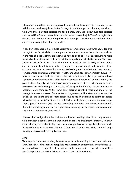jobs are performed and work is organized. Some jobs will change in task content, others will disappear and new jobs will arise. For logisticians it is important that they are able to work with these new technologies and tools, hence, knowledge about such technologies and related IT/software is essential to be able to function on the job. Therefore, logisticians should have a basic understanding of such technological developments and innovations and on how to apply these tools in practice.

In addition, respondents expect sustainability to become a more important knowledge area for logisticians. Sustainability is an important issue that concerns the society as a whole. In the field of logistics efforts are taken, and have to be taken, to make supplychains more sustainable. In addition, stakeholder expectations regarding sustainability increase. Therefore, junior logisticians should have knowledge about green logistics/sustainability and innovations and developments in this area. In this regard, one may speak about understanding of the circular economy, an economy 'that is restorative by design, and which aims to keep products, components and materials at their highest utility and value, at all times' (Webster, 2017, p. 17). Also, our respondents indicated that it is important for future logistics graduates to have a proper understanding of the entire business process. Because of, amongst others, the globalisation of supplychains and business operations, the business environment becomes more complex. Maintaining and improving efficiency and optimizing the use of resources becomes more complex. At the same time, logistics is linked more and more to the strategic business processes of companies and organisations. Therefore, it is important that logisticians are able to take a broader perspective, to see linkages and be able to cooperate with other departments/functions. Hence, it is vital that logistics graduates gain knowledge about general business (e.g., finance, marketing and sales, operations management). Relatedly, knowledge about business processes, including business process management, analysis and improvement, is essential.

However, knowledge about the business and how to do things should be complemented with knowledge about change management. In order to implement initiatives, to bring about change, to be able to improve, the status quo has to change. People have to do things differently or have to do different things. To realise this, knowledge about change management is considered highly important.

#### *Skills*

To adequately function on the job, knowledge or understanding alone is not sufficient. Knowledge should be applied appropriately to successfully perform tasks and activities, i.e., one should have the right skills. Respondents in this study indicate that whilst hard skills remain important, soft skills will become more important in the future.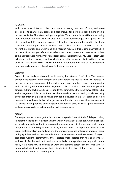#### *Hard skills*

With more possibilities to collect and store increasing amounts of data, and more possibilities to analyse data, digital and data analysis tools will be applied more often in business activities. Therefore, having appropriate IT and data science skills are becoming more important for logistics graduates. It has been acknowledged that graduates are able to work with IT systems, for instance ERP systems that are used in practice. Relatedly, it becomes more important to have data science skills to be able to process data to distil relevant information and understand and interpret results. In this regard, analytical skills, i.e., the ability to analyse information, to be able to detect patterns, to make sense of data, to think critically, are highly important. Respondents indicate that, as MS Excel is often used in logistics business to analyse and plan logistics activities, respondents stress the relevance of having sufficient MS Excel skills. Furthermore, respondents indicate that speaking one or more foreign languages is also relevant for logistics graduates.

## *Soft skills*

Experts in our study emphasized the increasing importance of soft skills. The business environment becomes more complex and cross-border logistics activities will increase. To operate in such an environment, logisticians must nog only have good communication skills, but also good intercultural management skills to be able to work with people with different cultural backgrounds. Our respondents acknowledge the importance of leadership and management skills but indicate that these are skills that can, and typically, are being developed through experience, hence, they can be developed at a later stage and are not necessarily must-haves for bachelor graduates in logistics. Moreover, time management, i.e., being able to prioritize tasks to get the job done in time, as well as problem-solving skills are also considered to be important skill requirements.

#### *Attitude*

Our respondent acknowledge the importance of a professional attitude. This is particularly important in the field of logistics given the way in which work is arranged. Often logisticians work independently, without close proximity to supervisors. Such a working environment brings about responsibility. Indeed, reliability was indicated as an important attitudinal trait. Senior professionals in our study believe the work performance of logistics graduates could be highly influenced by their attitude. Based on observations and evaluation of logistics graduates' working performance, these professionals indicate that the ones who are enthusiastic, flexible and motivated are more likely to adapt their working environment faster, learn more new knowledge at work and perform better than the ones who are demotivated, rigid and passive. Professionals indicated that attitude aspects play an important role in the recruitment process.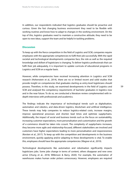In addition, our respondents indicated that logistics graduates should be proactive and curious. Given the fast changing business environment they need to be flexible with working routines and know-how to adapt to changes in the working environment. On the top of this, logistics graduates need to maintain a constructive attitude; they need to be open to new ideas, support the team and be helpful in tackling problems.

# **Discussion**

To keep up with the fierce competition in the field of Logistics and SCM, companies require employees with the appropriate competencies to fulfil their job successfully. With the rapid societal and technological developments companies face, the role as well as the required knowledge and skillset of logisticians is changing. To deliver logistics professionals that can fulfil their job adequately, it is important to update curricula of educational programs in Logistics and SCM on a regular basis.

However, while competencies have received increasing attention in Logistics and SCM research (Hohenstein et al., 2014), there are no or limited recent and solid studies that provide insight on competencies that graduates starting as entry-level logisticians should possess. Therefore, in this study, we examined developments in the field of Logistics and SCM and analysed the competency requirements of bachelor graduates in logistics now and in the near future. To do so, we conducted a literature review complemented with indepth interviews with professionals and academics.

The findings indicate the importance of technological trends such as digitalisation, automation and robotics, and data-driven logistics, blockchain and artificial intelligence. These trends may help companies to reduce logistics-related costs, increase margins, improve operational processes and shorten lead times and optimize supplychains. Additionally, the impact of social and business trends such as the focus on sustainability, increasing customer expectations, more personalisation and customisation and the growth of e-commerce should be taken into ccount. The complexity of supplychains increases, they become more agile and relationship-focused, different stakeholders are involved and customers have higher expectations leading to more personalisation and responsiveness (Kersten et al., 2017). To keep up with the competition and developments in the business environment, quickly applying and/or adapting to these developments is vital. To enable this, employees should have the appropriate competencies (Wagner et al., 2019).

Technological developments like automation and robotisation significantly impacts logisticians jobs. Some jobs change in terms of content, others disappear and new ones arrive (Chung et al., 2018; Wilkinson & Barry, 2020). For example, the automation of warehouses makes human order pickers unnecessary. However, employees are required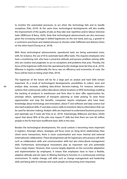to monitor the automated processes, to act when the technology fails and to handle exceptions (Pals, 2019). At the same time, technological developments will also enable the improvement of the quality of jobs as they take over repetitive and/or labour intensive tasks (Wilkinson & Barry, 2020). Note that technological advancements are also necessary given the increasing shortage in skilled logisticians on the one hand, and e.g., a growth in e-commerce purchases and related pressure to shorten order fulfilment and delivery times on the other hand (Chung et al., 2018).

With these technological advancements, operational tasks are being automated more, with, for instance, the use of AI to automate back-office tasks. This requires employees who have a monitoring role, who have a proactive attitude and possess problem-solving skills, who are creative and pragmatic to act on exceptions and problems that arise. Thereby, the focus of the logistician shifts from the operational to the strategic level (de Vries et al., 2019). Whereas in logistics traditionally the focus was on efficiency and economies of scale, the focus will be more on being smart (Pals, 2019).

The logistician of the future will be for a large part an analyst and hard skills remain important. As a result of technological developments, possibilities to collect, store and analyze data, increase, enabling data-driven decision-making. For instance, telematics systems that continuously collect data about vehicle locations or RFID technology enabling the tracking of products in warehouses and from door to door offer opportunities for, amongst others, optimisation of transport planning or order picking. To seize those opportunities and reap the benefits, companies require employees who have basic knowledge about technology and innovation, about IT and software and data science but also hard analytical skills, IT and data science skills to transform data to information that can be used for decision-making. Analytic skills are important to understand business processes and optimally use IT tools (de Vries et al., 2019). Interestingly, Wilkinson and Barry (2020) report that about 90% of the jobs now require IT skills but that there are over 60 million people in the EU that have insufficient basic skills in this area.

Besides the technological developments, the social context is becoming more important in logistics. Amongst others, strategies will focus more on (long term) relationships than (short term) transactions, there is more customisation and more internal and external (international) collaboration. These developments ask for logisticians who possess soft skills such as collaboration skills and communication skills but also intercultural management skills. Furthermore, technological innovations play an important role and potentially have a large impact. However, their success largely depends on the successful adaptation and implementation by employees. It means that employees have to have a flexible, adaptive attitude and are open to lifelong learning to function in a continuously evolving environment. To realize change, soft skills such as change management and leadership skills and being able to motivate and coach people are becoming more important.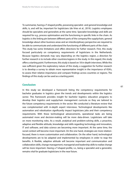To summarize, having a T-shaped profile, possessing specialist- and general knowledge and skills, is, and will be, important for logisticians (de Vries et al., 2019). Logistics employees should be specialists and generalists at the same time. Specialist knowledge and skills are required for e.g., process optimisation and the functioning in specific links in the chain. As logistics is the linking pin between different parts of the company/the supplychain, general knowledge about other business areas and an interdisciplinary perspective are required to be able to communicate and understand the functioning of different parts of the chain. This study has some limitations and offers directions for futher research. First, this study focssed particularly on competency requirements of logisticians in the Netherlands. Because logistics demands may vary depending on the logistics region, a direction for further research is to include other countries/regions in the study. In this regard, this study offers a starting point. Furthermore, this study is based on 18 in-depth interviews. While this was sufficient given the exploratory nature of this study, a suggestion for further research is to develop a survey to obtain more representative insight in the importance of KSA's, to assess their relative importance and compare findings across countries or regions. The findings of this study can be used as a starting point.

# **Conclusion**

In this study we developed a framework listing the competency requirements for bachelor graduates in logistics given the trends and developments within the logistics sector. This framework provides insight for bachelor logistics education programs to develop their logistics and supplychain management curricula so they are tailored to the future competency requirements in the sector. We conducted a literature review that was complemented with in-depth expert interviews. Technological developments like automation and robotisation significantly impact logisticians jobs and their competency requirements. With these technological advancements, operational tasks are being automated more and decision-making will be more data-driven. Logisticians will take on more monitoring roles. As a result, analytical and problem-solving skills, a proactive, adaptive and flexible attitude, knowledge and skills regarding technology and innovation, IT and software, and data science are becoming more important. At the same time, the social context will become more important. On the one hand, strategies are more relationfocused, there is more customisation and collaboration. On the other hand, technological developments are to be adapted and implemented by employees in order to reap the benefits. A flexible, adaptive attitude will become important and communication and collaboration skills, change management, managerial and leadership skills to realize change will be more important. Having a T-shaped profile, i.e., being a specialist and a generalist, remains vital for graduate logisticians in the near future.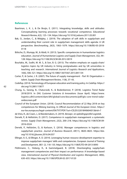# **References**

- Baartman, L. K. J., & De Bruijn, E. (2011). Integrating knowledge, skills and attitudes: Conceptualising learning processes towards vocational competence. *Educational Research Review*, *6*(2), 125–134. https://doi.org/10.1016/j.edurev.2011.03.001
- Bak, O., Jordan, C., & Midgley, J. (2019). The adoption of soft skills in supplychain and understanding their current role in supplychain management skills agenda: A UK perspective. *Benchmarking*, *26*(3), 1063–1079. https://doi.org/10.1108/BIJ-05-2018- 0118
- Bölsche, D., Klumpp, M., & Abidi, H. (2013). Specific competencies in humanitarian logistics education. *Journal of Humanitarian Logistics and Supply Chain Management*, *3*(2), 99– 128. https://doi.org/10.1108/JHLSCM-08-2012-0019
- Bourlakis, M., Sodhi, M. M. S., & Son, B. G. (2013). The relative emphasis on supply-chain/ logistics topics by UK industry in hiring postgraduates and by UK universities in teaching and research. *International Journal of Logistics Research and Applications*, *16*(6), 506–521. https://doi.org/10.1080/13675567.2013.841134
- Carter, P., & Carter, J. R. (2007). The future of supply management Part III: Organisation + talent. *Supply Chain Management Review*, *11*(8), 37–43.
- Cedefop. (2014). Terminology of European education and traninig policy. In *Cedefop*. https:// doi.org/10.2801/15877
- Chung, G., Gesing, B., Chaturvedi, K., & Bodenbenner, P. (2018). Logistics Trend Radar 2018/2019. In *DHL Customer Solutions & Innovations* (Issue April). https://www. logistics.dhl/content/dam/dhl/global/core/documents/pdf/glo-core-trend-radarwidescreen.pdf
- Council of the European Union. (2018). Council Recommendation of 22 May 2018 on key competences for lifelong learning. In *Official Journal of the European Union*. https:// eur-lex.europa.eu/legal-content/EN/TXT/PDF/?uri=CELEX:32018H0604(01)&rid=7
- de Vries, R., de Craen, J., & Mandemakers, A. (2019). *Beroeps- en opleidingsprofiel Logistiek*.
- Derwik, P., & Hellström, D. (2017). Competence in supplychain management: a systematic review. *Supply Chain Management*, *22*(2), 200–218. https://doi.org/10.1108/SCM-09- 2016-0324
- Derwik, P., Hellström, D., & Karlsson, S. (2016). Manager competences in logistics and supplychain practice. *Journal of Business Research*, *69*(11), 4820–4825. https://doi. org/10.1016/j.jbusres.2016.04.037
- Ellinger, A. E., & Ellinger, A. D. (2014). Leveraging human resource development expertise to improve supplychain managers' skills and competencies. *European Journal of Training and Development*, *38*(1–2), 118–135. https://doi.org/10.1108/EJTD-09-2013-0093
- Flöthmann, C., Hoberg, K., & Gammelgaard, B. (2018). Disentangling supplychain management competencies and their impact on performance: A knowledge-based view. *International Journal of Physical Distribution and Logistics Management*, *48*(6), 630–655. https://doi.org/10.1108/IJPDLM-02-2017-0120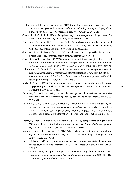- Flöthmann, C., Hoberg, K., & Wieland, A. (2018). Competency requirements of supplychain planners & analysts and personal preferences of hiring managers. *Supply Chain Management*, *23*(6), 480–499. https://doi.org/10.1108/SCM-03-2018-0101
- Gibson, B., & Cook, R. L. (2003). Entry-level logistics management hiring issues. *The International Journal of Logistics Management*, *14*(1), 121–134.
- Giunipero, L. C., Hooker, R. E., & Denslow, D. (2012). Purchasing and supply management sustainability: Drivers and barriers. *Journal of Purchasing and Supply Management*, *18*(4), 258–269. https://doi.org/10.1016/j.pursup.2012.06.003
- Giunipero, L. C., & Pearcy, D. H. (2000). World-class purchasing skills: An empirical investigation. *The Journal of Supply Chain Management*, *36*(4), 4–13.
- Gravier, M. J., & Theodore Farris, M. (2008). An analysis of logistics pedagogical literature: Past and future trends in curriculum, content, and pedagogy. *The International Journal of Logistics Management*, *19*(2), 233–253. https://doi.org/10.1108/09574090810895979
- Hohenstein, N. O., Feisel, E., & Hartmann, E. (2014). Human resource management issues in supplychain management research: A systematic literature review from 1998 to 2014. *International Journal of Physical Distribution and Logistics Management*, *44*(6), 434– 463. https://doi.org/10.1108/IJPDLM-06-2013-0175
- Jordan, C., & Bak, O. (2016). The growing scale and scope of the supplychain: a reflection on supplychain graduate skills. *Supply Chain Management*, *21*(5), 610–626. https://doi. org/10.1108/SCM-02-2016-0059
- Karttunen, E. (2018). Purchasing and supply management skills revisited: an extensive literature review. In *Benchmarking* (Vol. 25, Issue 9). https://doi.org/10.1108/BIJ-03- 2017-0047
- Kersten, W., Seiter, M., von See, B., Hackius, N., & Maurer, T. (2017). *Trends und Strategie in Logistik und Supply Chain Management*. http://logistiktrends.bvl.de/system/files/ t16/2017/Trends\_und\_Strategien\_in\_Logistik\_und\_Supply\_Chain\_Management\_-Chancen\_der\_digitalen\_Transformation\_-\_Kersten\_von\_See\_Hackius\_Maurer\_2017. pdf
- Kotzab, H., Teller, C., Bourlakis, M., & Wünsche, S. (2018). Key competences of logistics and SCM professionals – the lifelong learning perspective. *Supply Chain Management*, *23*(1), 50–64. https://doi.org/10.1108/SCM-02-2017-0079
- Kovács, G., Tatham, P., & Larson, P. D. (2012). What skills are needed to be a humanitarian logistician? *Journal of Business Logistics*, *33*(3), 245–258. https://doi.org/10.1111/ j.2158-1592.2012.01054.x
- Lutz, H., & Birou, L. (2013). Logistics education: A look at the current state of the art and science. *Supply Chain Management*, *18*(4), 455–467. https://doi.org/10.1108/SCM-08- 2012-0269
- Male, S. A., Bush, M. B., & Chapman, E. S. (2011). An Australian study of generic competencies required by engineers. *European Journal of Engineering Education*, *36*(2), 151–163. https://doi.org/10.1080/03043797.2011.569703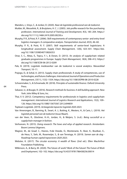Manders, J., Vreys, C., & Jonker, D. (2020). *Naar de logistieke professional van de toekomst*.

- Mulder, M., Wesselink, R., & Bruijstens, H. C. J. (2005). Job profile research for the purchasing profession. *International Journal of Training and Development*, *9*(3), 185–204. https:// doi.org/10.1111/j.1468-2419.2005.00230.x
- Murphy, P. R., & Poist, R. F. (2006). Skill requirements of contemporary senior- and entry-level logistics managers: A comparative analysis. *Transportation Journal*, *45*(3), 46–60.
- Murphy, P. R., & Poist, R. F. (2007). Skill requirements of senior-level logisticians: A longitudinal assessment. *Supply Chain Management*, *12*(6), 423–431. https://doi. org/10.1108/13598540710826353
- Onar, S. C., Aktas, E., Topcu, Y. I., & Doran, D. (2013). An analysis of supplychain related graduate programmes in Europe. *Supply Chain Management*, *18*(4), 398–412. https:// doi.org/10.1108/SCM-06-2012-0209
- Pals, B. (2019). Logistiek medewerker van de toekomst is vooral analytics. *Nieuwsblad Transport*, 10–11.
- Prajogo, D., & Sohal, A. (2013). Supply chain professionals: A study of competencies, use of technologies, and future challenges. *International Journal of Operations and Production Management*, *33*(11), 1532–1554. https://doi.org/10.1108/IJOPM-08-2010-0228
- Schoenmaker, S., & Schramade, W. (2018). *Principles of sustainable finance*. Oxford University Press.
- Sekaran, U., & Bougie, R. (2016). *Research methods for business: A skill building approach*. New York: John Wiley & Sons, Inc.
- Thai, V. V. (2012). Competency requirements for professionals in logistics and supplychain management. *International Journal of Logistics Research and Applications*, *15*(2), 109– 126. https://doi.org/10.1080/13675567.2012.694859
- Topteam Logistiek. (2019). *Actieagenda topsector logistiek 2020-2023*.
- Van Amerongen, B., Banning, B., Swart, A. J., Buiting, K., Mesters, H., & Caris, L. (2019). *Het logistiek personeel van de toekomst* (Issue Maart).
- van der Veen, R., Glockner, H.-H., Jordan, H., & Weijers, S. (n.d.). *Being succesfull as a supplychain manager in fashion*.
- Verhoeven, N. (2015). *Doing research: The hows and whys of applied research*. Amsterdam: Boom Lemma Uitgevers.
- Wagner, M., de Graaf, C., Heeres, H.de Vreede, O., Montenarie, R., Boer, K., Boutkan, E., de Heus, Y., Sieh, M., Rosemeijer, S., & van Terwisga, H. (2019). *Samen aan de slag - Roadmap human capital topsectoren 2020-2023*.
- Webster, K. (2017). *The circular economy: A wealth of flows* (2nd ed.). Ellen MacArthur Foundation Publishing.
- Wilkinson, A., & Barry, M. (2020). The future of work? Work of the future! *The Future of Work and Employment*, 102–102. https://doi.org/10.4337/9781786438256.00014